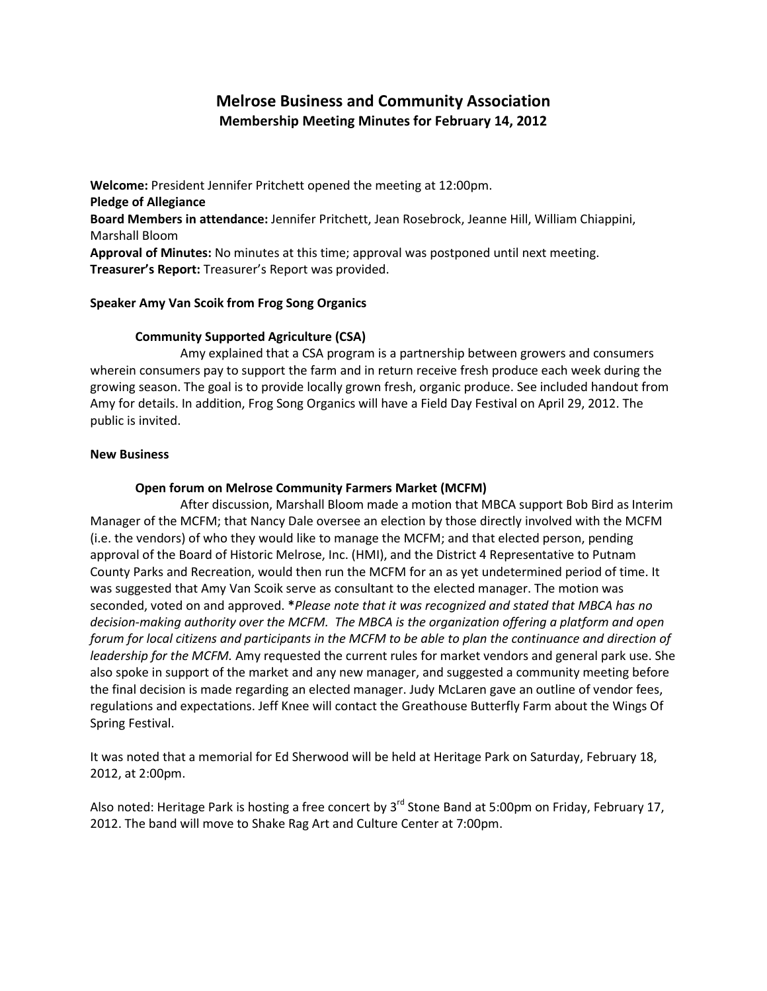# Melrose Business and Community Association Membership Meeting Minutes for February 14, 2012

Welcome: President Jennifer Pritchett opened the meeting at 12:00pm. Pledge of Allegiance Board Members in attendance: Jennifer Pritchett, Jean Rosebrock, Jeanne Hill, William Chiappini, Marshall Bloom Approval of Minutes: No minutes at this time; approval was postponed until next meeting. Treasurer's Report: Treasurer's Report was provided.

# Speaker Amy Van Scoik from Frog Song Organics

# Community Supported Agriculture (CSA)

 Amy explained that a CSA program is a partnership between growers and consumers wherein consumers pay to support the farm and in return receive fresh produce each week during the growing season. The goal is to provide locally grown fresh, organic produce. See included handout from Amy for details. In addition, Frog Song Organics will have a Field Day Festival on April 29, 2012. The public is invited.

## New Business

## Open forum on Melrose Community Farmers Market (MCFM)

 After discussion, Marshall Bloom made a motion that MBCA support Bob Bird as Interim Manager of the MCFM; that Nancy Dale oversee an election by those directly involved with the MCFM (i.e. the vendors) of who they would like to manage the MCFM; and that elected person, pending approval of the Board of Historic Melrose, Inc. (HMI), and the District 4 Representative to Putnam County Parks and Recreation, would then run the MCFM for an as yet undetermined period of time. It was suggested that Amy Van Scoik serve as consultant to the elected manager. The motion was seconded, voted on and approved. \*Please note that it was recognized and stated that MBCA has no decision-making authority over the MCFM. The MBCA is the organization offering a platform and open forum for local citizens and participants in the MCFM to be able to plan the continuance and direction of leadership for the MCFM. Amy requested the current rules for market vendors and general park use. She also spoke in support of the market and any new manager, and suggested a community meeting before the final decision is made regarding an elected manager. Judy McLaren gave an outline of vendor fees, regulations and expectations. Jeff Knee will contact the Greathouse Butterfly Farm about the Wings Of Spring Festival.

It was noted that a memorial for Ed Sherwood will be held at Heritage Park on Saturday, February 18, 2012, at 2:00pm.

Also noted: Heritage Park is hosting a free concert by  $3^{rd}$  Stone Band at 5:00pm on Friday, February 17, 2012. The band will move to Shake Rag Art and Culture Center at 7:00pm.